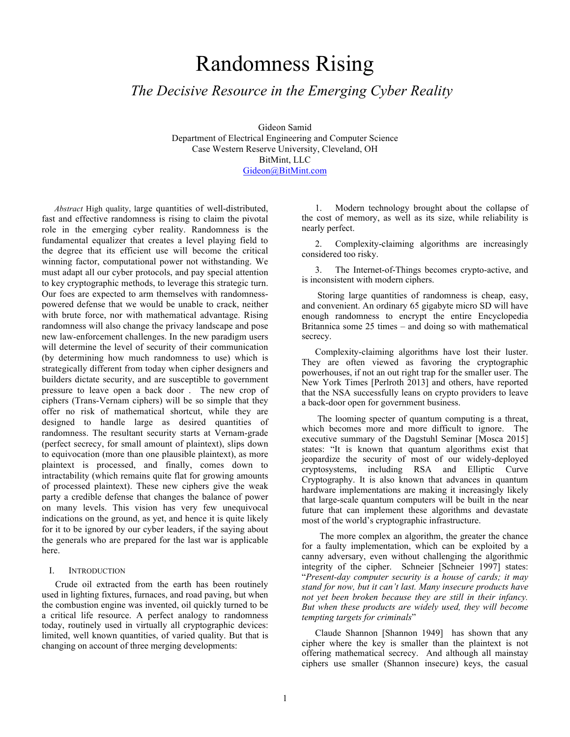# Randomness Rising

# *The Decisive Resource in the Emerging Cyber Reality*

Gideon Samid Department of Electrical Engineering and Computer Science Case Western Reserve University, Cleveland, OH BitMint, LLC Gideon@BitMint.com

*Abstract* High quality, large quantities of well-distributed, fast and effective randomness is rising to claim the pivotal role in the emerging cyber reality. Randomness is the fundamental equalizer that creates a level playing field to the degree that its efficient use will become the critical winning factor, computational power not withstanding. We must adapt all our cyber protocols, and pay special attention to key cryptographic methods, to leverage this strategic turn. Our foes are expected to arm themselves with randomnesspowered defense that we would be unable to crack, neither with brute force, nor with mathematical advantage. Rising randomness will also change the privacy landscape and pose new law-enforcement challenges. In the new paradigm users will determine the level of security of their communication (by determining how much randomness to use) which is strategically different from today when cipher designers and builders dictate security, and are susceptible to government pressure to leave open a back door . The new crop of ciphers (Trans-Vernam ciphers) will be so simple that they offer no risk of mathematical shortcut, while they are designed to handle large as desired quantities of randomness. The resultant security starts at Vernam-grade (perfect secrecy, for small amount of plaintext), slips down to equivocation (more than one plausible plaintext), as more plaintext is processed, and finally, comes down to intractability (which remains quite flat for growing amounts of processed plaintext). These new ciphers give the weak party a credible defense that changes the balance of power on many levels. This vision has very few unequivocal indications on the ground, as yet, and hence it is quite likely for it to be ignored by our cyber leaders, if the saying about the generals who are prepared for the last war is applicable here.

#### I. INTRODUCTION

Crude oil extracted from the earth has been routinely used in lighting fixtures, furnaces, and road paving, but when the combustion engine was invented, oil quickly turned to be a critical life resource. A perfect analogy to randomness today, routinely used in virtually all cryptographic devices: limited, well known quantities, of varied quality. But that is changing on account of three merging developments:

1. Modern technology brought about the collapse of the cost of memory, as well as its size, while reliability is nearly perfect.

2. Complexity-claiming algorithms are increasingly considered too risky.

3. The Internet-of-Things becomes crypto-active, and is inconsistent with modern ciphers.

Storing large quantities of randomness is cheap, easy, and convenient. An ordinary 65 gigabyte micro SD will have enough randomness to encrypt the entire Encyclopedia Britannica some 25 times – and doing so with mathematical secrecy.

Complexity-claiming algorithms have lost their luster. They are often viewed as favoring the cryptographic powerhouses, if not an out right trap for the smaller user. The New York Times [Perlroth 2013] and others, have reported that the NSA successfully leans on crypto providers to leave a back-door open for government business.

The looming specter of quantum computing is a threat, which becomes more and more difficult to ignore. The executive summary of the Dagstuhl Seminar [Mosca 2015] states: "It is known that quantum algorithms exist that jeopardize the security of most of our widely-deployed cryptosystems, including RSA and Elliptic Curve Cryptography. It is also known that advances in quantum hardware implementations are making it increasingly likely that large-scale quantum computers will be built in the near future that can implement these algorithms and devastate most of the world's cryptographic infrastructure.

 The more complex an algorithm, the greater the chance for a faulty implementation, which can be exploited by a canny adversary, even without challenging the algorithmic integrity of the cipher. Schneier [Schneier 1997] states: "*Present-day computer security is a house of cards; it may stand for now, but it can't last. Many insecure products have not yet been broken because they are still in their infancy. But when these products are widely used, they will become tempting targets for criminals*"

Claude Shannon [Shannon 1949] has shown that any cipher where the key is smaller than the plaintext is not offering mathematical secrecy. And although all mainstay ciphers use smaller (Shannon insecure) keys, the casual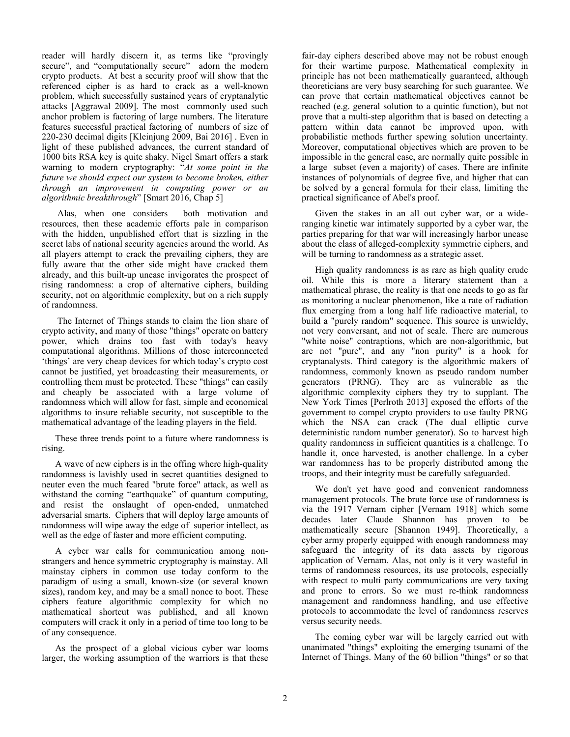reader will hardly discern it, as terms like "provingly secure", and "computationally secure" adorn the modern crypto products. At best a security proof will show that the referenced cipher is as hard to crack as a well-known problem, which successfully sustained years of cryptanalytic attacks [Aggrawal 2009]. The most commonly used such anchor problem is factoring of large numbers. The literature features successful practical factoring of numbers of size of 220-230 decimal digits [Kleinjung 2009, Bai 2016] . Even in light of these published advances, the current standard of 1000 bits RSA key is quite shaky. Nigel Smart offers a stark warning to modern cryptography: "*At some point in the future we should expect our system to become broken, either through an improvement in computing power or an algorithmic breakthrough*" [Smart 2016, Chap 5]

Alas, when one considers both motivation and resources, then these academic efforts pale in comparison with the hidden, unpublished effort that is sizzling in the secret labs of national security agencies around the world. As all players attempt to crack the prevailing ciphers, they are fully aware that the other side might have cracked them already, and this built-up unease invigorates the prospect of rising randomness: a crop of alternative ciphers, building security, not on algorithmic complexity, but on a rich supply of randomness.

The Internet of Things stands to claim the lion share of crypto activity, and many of those "things" operate on battery power, which drains too fast with today's heavy computational algorithms. Millions of those interconnected 'things' are very cheap devices for which today's crypto cost cannot be justified, yet broadcasting their measurements, or controlling them must be protected. These "things" can easily and cheaply be associated with a large volume of randomness which will allow for fast, simple and economical algorithms to insure reliable security, not susceptible to the mathematical advantage of the leading players in the field.

These three trends point to a future where randomness is rising.

A wave of new ciphers is in the offing where high-quality randomness is lavishly used in secret quantities designed to neuter even the much feared "brute force" attack, as well as withstand the coming "earthquake" of quantum computing, and resist the onslaught of open-ended, unmatched adversarial smarts. Ciphers that will deploy large amounts of randomness will wipe away the edge of superior intellect, as well as the edge of faster and more efficient computing.

A cyber war calls for communication among nonstrangers and hence symmetric cryptography is mainstay. All mainstay ciphers in common use today conform to the paradigm of using a small, known-size (or several known sizes), random key, and may be a small nonce to boot. These ciphers feature algorithmic complexity for which no mathematical shortcut was published, and all known computers will crack it only in a period of time too long to be of any consequence.

As the prospect of a global vicious cyber war looms larger, the working assumption of the warriors is that these fair-day ciphers described above may not be robust enough for their wartime purpose. Mathematical complexity in principle has not been mathematically guaranteed, although theoreticians are very busy searching for such guarantee. We can prove that certain mathematical objectives cannot be reached (e.g. general solution to a quintic function), but not prove that a multi-step algorithm that is based on detecting a pattern within data cannot be improved upon, with probabilistic methods further spewing solution uncertainty. Moreover, computational objectives which are proven to be impossible in the general case, are normally quite possible in a large subset (even a majority) of cases. There are infinite instances of polynomials of degree five, and higher that can be solved by a general formula for their class, limiting the practical significance of Abel's proof.

Given the stakes in an all out cyber war, or a wideranging kinetic war intimately supported by a cyber war, the parties preparing for that war will increasingly harbor unease about the class of alleged-complexity symmetric ciphers, and will be turning to randomness as a strategic asset.

High quality randomness is as rare as high quality crude oil. While this is more a literary statement than a mathematical phrase, the reality is that one needs to go as far as monitoring a nuclear phenomenon, like a rate of radiation flux emerging from a long half life radioactive material, to build a "purely random" sequence. This source is unwieldy, not very conversant, and not of scale. There are numerous "white noise" contraptions, which are non-algorithmic, but are not "pure", and any "non purity" is a hook for cryptanalysts. Third category is the algorithmic makers of randomness, commonly known as pseudo random number generators (PRNG). They are as vulnerable as the algorithmic complexity ciphers they try to supplant. The New York Times [Perlroth 2013] exposed the efforts of the government to compel crypto providers to use faulty PRNG which the NSA can crack (The dual elliptic curve deterministic random number generator). So to harvest high quality randomness in sufficient quantities is a challenge. To handle it, once harvested, is another challenge. In a cyber war randomness has to be properly distributed among the troops, and their integrity must be carefully safeguarded.

We don't yet have good and convenient randomness management protocols. The brute force use of randomness is via the 1917 Vernam cipher [Vernam 1918] which some decades later Claude Shannon has proven to be mathematically secure [Shannon 1949]. Theoretically, a cyber army properly equipped with enough randomness may safeguard the integrity of its data assets by rigorous application of Vernam. Alas, not only is it very wasteful in terms of randomness resources, its use protocols, especially with respect to multi party communications are very taxing and prone to errors. So we must re-think randomness management and randomness handling, and use effective protocols to accommodate the level of randomness reserves versus security needs.

The coming cyber war will be largely carried out with unanimated "things" exploiting the emerging tsunami of the Internet of Things. Many of the 60 billion "things" or so that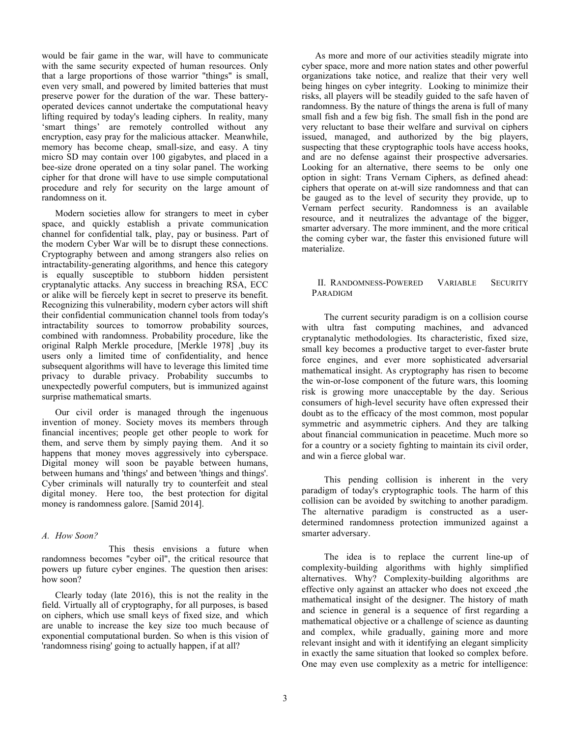would be fair game in the war, will have to communicate with the same security expected of human resources. Only that a large proportions of those warrior "things" is small, even very small, and powered by limited batteries that must preserve power for the duration of the war. These batteryoperated devices cannot undertake the computational heavy lifting required by today's leading ciphers. In reality, many 'smart things' are remotely controlled without any encryption, easy pray for the malicious attacker. Meanwhile, memory has become cheap, small-size, and easy. A tiny micro SD may contain over 100 gigabytes, and placed in a bee-size drone operated on a tiny solar panel. The working cipher for that drone will have to use simple computational procedure and rely for security on the large amount of randomness on it.

Modern societies allow for strangers to meet in cyber space, and quickly establish a private communication channel for confidential talk, play, pay or business. Part of the modern Cyber War will be to disrupt these connections. Cryptography between and among strangers also relies on intractability-generating algorithms, and hence this category is equally susceptible to stubborn hidden persistent cryptanalytic attacks. Any success in breaching RSA, ECC or alike will be fiercely kept in secret to preserve its benefit. Recognizing this vulnerability, modern cyber actors will shift their confidential communication channel tools from today's intractability sources to tomorrow probability sources, combined with randomness. Probability procedure, like the original Ralph Merkle procedure, [Merkle 1978] ,buy its users only a limited time of confidentiality, and hence subsequent algorithms will have to leverage this limited time privacy to durable privacy. Probability succumbs to unexpectedly powerful computers, but is immunized against surprise mathematical smarts.

Our civil order is managed through the ingenuous invention of money. Society moves its members through financial incentives; people get other people to work for them, and serve them by simply paying them. And it so happens that money moves aggressively into cyberspace. Digital money will soon be payable between humans, between humans and 'things' and between 'things and things'. Cyber criminals will naturally try to counterfeit and steal digital money. Here too, the best protection for digital money is randomness galore. [Samid 2014].

#### *A. How Soon?*

This thesis envisions a future when randomness becomes "cyber oil", the critical resource that powers up future cyber engines. The question then arises: how soon?

Clearly today (late 2016), this is not the reality in the field. Virtually all of cryptography, for all purposes, is based on ciphers, which use small keys of fixed size, and which are unable to increase the key size too much because of exponential computational burden. So when is this vision of 'randomness rising' going to actually happen, if at all?

As more and more of our activities steadily migrate into cyber space, more and more nation states and other powerful organizations take notice, and realize that their very well being hinges on cyber integrity. Looking to minimize their risks, all players will be steadily guided to the safe haven of randomness. By the nature of things the arena is full of many small fish and a few big fish. The small fish in the pond are very reluctant to base their welfare and survival on ciphers issued, managed, and authorized by the big players, suspecting that these cryptographic tools have access hooks, and are no defense against their prospective adversaries. Looking for an alternative, there seems to be only one option in sight: Trans Vernam Ciphers, as defined ahead: ciphers that operate on at-will size randomness and that can be gauged as to the level of security they provide, up to Vernam perfect security. Randomness is an available resource, and it neutralizes the advantage of the bigger, smarter adversary. The more imminent, and the more critical the coming cyber war, the faster this envisioned future will materialize.

#### II. RANDOMNESS-POWERED VARIABLE SECURITY PARADIGM

The current security paradigm is on a collision course with ultra fast computing machines, and advanced cryptanalytic methodologies. Its characteristic, fixed size, small key becomes a productive target to ever-faster brute force engines, and ever more sophisticated adversarial mathematical insight. As cryptography has risen to become the win-or-lose component of the future wars, this looming risk is growing more unacceptable by the day. Serious consumers of high-level security have often expressed their doubt as to the efficacy of the most common, most popular symmetric and asymmetric ciphers. And they are talking about financial communication in peacetime. Much more so for a country or a society fighting to maintain its civil order, and win a fierce global war.

This pending collision is inherent in the very paradigm of today's cryptographic tools. The harm of this collision can be avoided by switching to another paradigm. The alternative paradigm is constructed as a userdetermined randomness protection immunized against a smarter adversary.

The idea is to replace the current line-up of complexity-building algorithms with highly simplified alternatives. Why? Complexity-building algorithms are effective only against an attacker who does not exceed ,the mathematical insight of the designer. The history of math and science in general is a sequence of first regarding a mathematical objective or a challenge of science as daunting and complex, while gradually, gaining more and more relevant insight and with it identifying an elegant simplicity in exactly the same situation that looked so complex before. One may even use complexity as a metric for intelligence: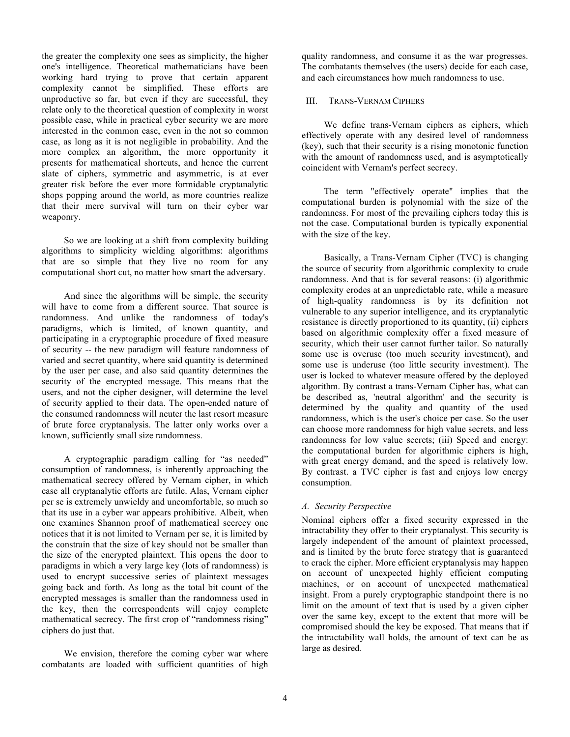the greater the complexity one sees as simplicity, the higher one's intelligence. Theoretical mathematicians have been working hard trying to prove that certain apparent complexity cannot be simplified. These efforts are unproductive so far, but even if they are successful, they relate only to the theoretical question of complexity in worst possible case, while in practical cyber security we are more interested in the common case, even in the not so common case, as long as it is not negligible in probability. And the more complex an algorithm, the more opportunity it presents for mathematical shortcuts, and hence the current slate of ciphers, symmetric and asymmetric, is at ever greater risk before the ever more formidable cryptanalytic shops popping around the world, as more countries realize that their mere survival will turn on their cyber war weaponry.

So we are looking at a shift from complexity building algorithms to simplicity wielding algorithms: algorithms that are so simple that they live no room for any computational short cut, no matter how smart the adversary.

And since the algorithms will be simple, the security will have to come from a different source. That source is randomness. And unlike the randomness of today's paradigms, which is limited, of known quantity, and participating in a cryptographic procedure of fixed measure of security -- the new paradigm will feature randomness of varied and secret quantity, where said quantity is determined by the user per case, and also said quantity determines the security of the encrypted message. This means that the users, and not the cipher designer, will determine the level of security applied to their data. The open-ended nature of the consumed randomness will neuter the last resort measure of brute force cryptanalysis. The latter only works over a known, sufficiently small size randomness.

A cryptographic paradigm calling for "as needed" consumption of randomness, is inherently approaching the mathematical secrecy offered by Vernam cipher, in which case all cryptanalytic efforts are futile. Alas, Vernam cipher per se is extremely unwieldy and uncomfortable, so much so that its use in a cyber war appears prohibitive. Albeit, when one examines Shannon proof of mathematical secrecy one notices that it is not limited to Vernam per se, it is limited by the constrain that the size of key should not be smaller than the size of the encrypted plaintext. This opens the door to paradigms in which a very large key (lots of randomness) is used to encrypt successive series of plaintext messages going back and forth. As long as the total bit count of the encrypted messages is smaller than the randomness used in the key, then the correspondents will enjoy complete mathematical secrecy. The first crop of "randomness rising" ciphers do just that.

We envision, therefore the coming cyber war where combatants are loaded with sufficient quantities of high quality randomness, and consume it as the war progresses. The combatants themselves (the users) decide for each case, and each circumstances how much randomness to use.

#### III. TRANS-VERNAM CIPHERS

We define trans-Vernam ciphers as ciphers, which effectively operate with any desired level of randomness (key), such that their security is a rising monotonic function with the amount of randomness used, and is asymptotically coincident with Vernam's perfect secrecy.

The term "effectively operate" implies that the computational burden is polynomial with the size of the randomness. For most of the prevailing ciphers today this is not the case. Computational burden is typically exponential with the size of the key.

Basically, a Trans-Vernam Cipher (TVC) is changing the source of security from algorithmic complexity to crude randomness. And that is for several reasons: (i) algorithmic complexity erodes at an unpredictable rate, while a measure of high-quality randomness is by its definition not vulnerable to any superior intelligence, and its cryptanalytic resistance is directly proportioned to its quantity, (ii) ciphers based on algorithmic complexity offer a fixed measure of security, which their user cannot further tailor. So naturally some use is overuse (too much security investment), and some use is underuse (too little security investment). The user is locked to whatever measure offered by the deployed algorithm. By contrast a trans-Vernam Cipher has, what can be described as, 'neutral algorithm' and the security is determined by the quality and quantity of the used randomness, which is the user's choice per case. So the user can choose more randomness for high value secrets, and less randomness for low value secrets; (iii) Speed and energy: the computational burden for algorithmic ciphers is high, with great energy demand, and the speed is relatively low. By contrast. a TVC cipher is fast and enjoys low energy consumption.

# *A. Security Perspective*

Nominal ciphers offer a fixed security expressed in the intractability they offer to their cryptanalyst. This security is largely independent of the amount of plaintext processed, and is limited by the brute force strategy that is guaranteed to crack the cipher. More efficient cryptanalysis may happen on account of unexpected highly efficient computing machines, or on account of unexpected mathematical insight. From a purely cryptographic standpoint there is no limit on the amount of text that is used by a given cipher over the same key, except to the extent that more will be compromised should the key be exposed. That means that if the intractability wall holds, the amount of text can be as large as desired.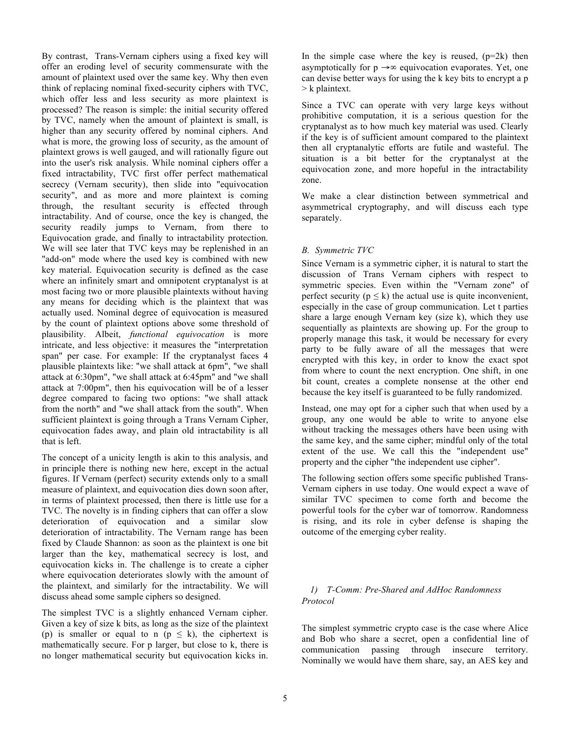By contrast, Trans-Vernam ciphers using a fixed key will offer an eroding level of security commensurate with the amount of plaintext used over the same key. Why then even think of replacing nominal fixed-security ciphers with TVC, which offer less and less security as more plaintext is processed? The reason is simple: the initial security offered by TVC, namely when the amount of plaintext is small, is higher than any security offered by nominal ciphers. And what is more, the growing loss of security, as the amount of plaintext grows is well gauged, and will rationally figure out into the user's risk analysis. While nominal ciphers offer a fixed intractability, TVC first offer perfect mathematical secrecy (Vernam security), then slide into "equivocation security", and as more and more plaintext is coming through, the resultant security is effected through intractability. And of course, once the key is changed, the security readily jumps to Vernam, from there to Equivocation grade, and finally to intractability protection. We will see later that TVC keys may be replenished in an "add-on" mode where the used key is combined with new key material. Equivocation security is defined as the case where an infinitely smart and omnipotent cryptanalyst is at most facing two or more plausible plaintexts without having any means for deciding which is the plaintext that was actually used. Nominal degree of equivocation is measured by the count of plaintext options above some threshold of plausibility. Albeit, *functional equivocation* is more intricate, and less objective: it measures the "interpretation span" per case. For example: If the cryptanalyst faces 4 plausible plaintexts like: "we shall attack at 6pm", "we shall attack at 6:30pm", "we shall attack at 6:45pm" and "we shall attack at 7:00pm", then his equivocation will be of a lesser degree compared to facing two options: "we shall attack from the north" and "we shall attack from the south". When sufficient plaintext is going through a Trans Vernam Cipher, equivocation fades away, and plain old intractability is all that is left.

The concept of a unicity length is akin to this analysis, and in principle there is nothing new here, except in the actual figures. If Vernam (perfect) security extends only to a small measure of plaintext, and equivocation dies down soon after, in terms of plaintext processed, then there is little use for a TVC. The novelty is in finding ciphers that can offer a slow deterioration of equivocation and a similar slow deterioration of intractability. The Vernam range has been fixed by Claude Shannon: as soon as the plaintext is one bit larger than the key, mathematical secrecy is lost, and equivocation kicks in. The challenge is to create a cipher where equivocation deteriorates slowly with the amount of the plaintext, and similarly for the intractability. We will discuss ahead some sample ciphers so designed.

The simplest TVC is a slightly enhanced Vernam cipher. Given a key of size k bits, as long as the size of the plaintext (p) is smaller or equal to n ( $p \le k$ ), the ciphertext is mathematically secure. For p larger, but close to k, there is no longer mathematical security but equivocation kicks in.

In the simple case where the key is reused,  $(p=2k)$  then asymptotically for  $p \rightarrow \infty$  equivocation evaporates. Yet, one can devise better ways for using the k key bits to encrypt a p > k plaintext.

Since a TVC can operate with very large keys without prohibitive computation, it is a serious question for the cryptanalyst as to how much key material was used. Clearly if the key is of sufficient amount compared to the plaintext then all cryptanalytic efforts are futile and wasteful. The situation is a bit better for the cryptanalyst at the equivocation zone, and more hopeful in the intractability zone.

We make a clear distinction between symmetrical and asymmetrical cryptography, and will discuss each type separately.

# *B. Symmetric TVC*

Since Vernam is a symmetric cipher, it is natural to start the discussion of Trans Vernam ciphers with respect to symmetric species. Even within the "Vernam zone" of perfect security ( $p \le k$ ) the actual use is quite inconvenient, especially in the case of group communication. Let t parties share a large enough Vernam key (size k), which they use sequentially as plaintexts are showing up. For the group to properly manage this task, it would be necessary for every party to be fully aware of all the messages that were encrypted with this key, in order to know the exact spot from where to count the next encryption. One shift, in one bit count, creates a complete nonsense at the other end because the key itself is guaranteed to be fully randomized.

Instead, one may opt for a cipher such that when used by a group, any one would be able to write to anyone else without tracking the messages others have been using with the same key, and the same cipher; mindful only of the total extent of the use. We call this the "independent use" property and the cipher "the independent use cipher".

The following section offers some specific published Trans-Vernam ciphers in use today. One would expect a wave of similar TVC specimen to come forth and become the powerful tools for the cyber war of tomorrow. Randomness is rising, and its role in cyber defense is shaping the outcome of the emerging cyber reality.

# *1) T-Comm: Pre-Shared and AdHoc Randomness Protocol*

The simplest symmetric crypto case is the case where Alice and Bob who share a secret, open a confidential line of communication passing through insecure territory. Nominally we would have them share, say, an AES key and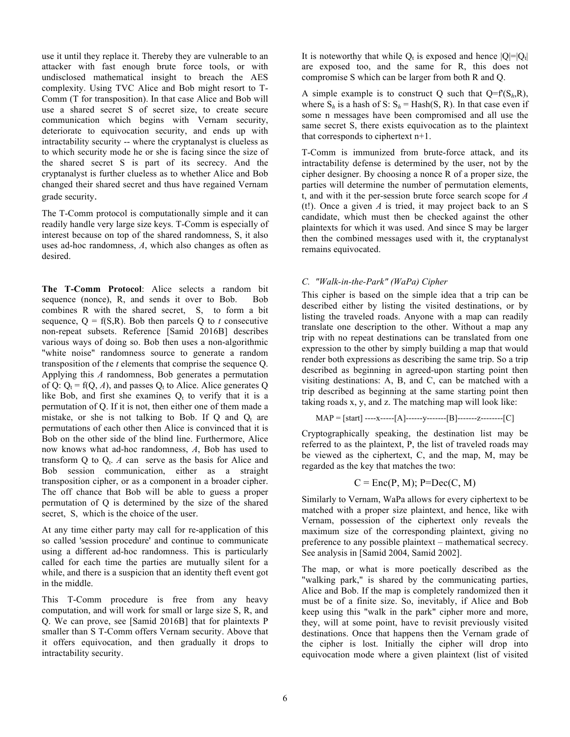use it until they replace it. Thereby they are vulnerable to an attacker with fast enough brute force tools, or with undisclosed mathematical insight to breach the AES complexity. Using TVC Alice and Bob might resort to T-Comm (T for transposition). In that case Alice and Bob will use a shared secret S of secret size, to create secure communication which begins with Vernam security, deteriorate to equivocation security, and ends up with intractability security -- where the cryptanalyst is clueless as to which security mode he or she is facing since the size of the shared secret S is part of its secrecy. And the cryptanalyst is further clueless as to whether Alice and Bob changed their shared secret and thus have regained Vernam grade security.

The T-Comm protocol is computationally simple and it can readily handle very large size keys. T-Comm is especially of interest because on top of the shared randomness, S, it also uses ad-hoc randomness, *A*, which also changes as often as desired.

**The T-Comm Protocol**: Alice selects a random bit sequence (nonce), R, and sends it over to Bob. Bob combines R with the shared secret, S, to form a bit sequence,  $Q = f(S,R)$ . Bob then parcels Q to *t* consecutive non-repeat subsets. Reference [Samid 2016B] describes various ways of doing so. Bob then uses a non-algorithmic "white noise" randomness source to generate a random transposition of the *t* elements that comprise the sequence Q. Applying this *A* randomness, Bob generates a permutation of Q:  $Q_t = f(Q, A)$ , and passes  $Q_t$  to Alice. Alice generates Q like Bob, and first she examines  $Q_t$  to verify that it is a permutation of Q. If it is not, then either one of them made a mistake, or she is not talking to Bob. If  $Q$  and  $Q_t$  are permutations of each other then Alice is convinced that it is Bob on the other side of the blind line. Furthermore, Alice now knows what ad-hoc randomness, *A*, Bob has used to transform  $Q$  to  $Q_t$ . *A* can serve as the basis for Alice and Bob session communication, either as a straight transposition cipher, or as a component in a broader cipher. The off chance that Bob will be able to guess a proper permutation of Q is determined by the size of the shared secret, S, which is the choice of the user.

At any time either party may call for re-application of this so called 'session procedure' and continue to communicate using a different ad-hoc randomness. This is particularly called for each time the parties are mutually silent for a while, and there is a suspicion that an identity theft event got in the middle.

This T-Comm procedure is free from any heavy computation, and will work for small or large size S, R, and Q. We can prove, see [Samid 2016B] that for plaintexts P smaller than S T-Comm offers Vernam security. Above that it offers equivocation, and then gradually it drops to intractability security.

It is noteworthy that while  $Q_t$  is exposed and hence  $|Q|=|Q_t|$ are exposed too, and the same for R, this does not compromise S which can be larger from both R and Q.

A simple example is to construct Q such that  $Q = f(S_h, R)$ , where  $S_h$  is a hash of S:  $S_h$  = Hash(S, R). In that case even if some n messages have been compromised and all use the same secret S, there exists equivocation as to the plaintext that corresponds to ciphertext n+1.

T-Comm is immunized from brute-force attack, and its intractability defense is determined by the user, not by the cipher designer. By choosing a nonce R of a proper size, the parties will determine the number of permutation elements, t, and with it the per-session brute force search scope for *A*  (t!). Once a given *A* is tried, it may project back to an S candidate, which must then be checked against the other plaintexts for which it was used. And since S may be larger then the combined messages used with it, the cryptanalyst remains equivocated.

# *C. "Walk-in-the-Park" (WaPa) Cipher*

This cipher is based on the simple idea that a trip can be described either by listing the visited destinations, or by listing the traveled roads. Anyone with a map can readily translate one description to the other. Without a map any trip with no repeat destinations can be translated from one expression to the other by simply building a map that would render both expressions as describing the same trip. So a trip described as beginning in agreed-upon starting point then visiting destinations: A, B, and C, can be matched with a trip described as beginning at the same starting point then taking roads x, y, and z. The matching map will look like:

$$
MAP = [start] \n---x\n---[A] \n---y\n---[B] \n---z\n---z\n---[C]
$$

Cryptographically speaking, the destination list may be referred to as the plaintext, P, the list of traveled roads may be viewed as the ciphertext, C, and the map, M, may be regarded as the key that matches the two:

$$
C = \text{Enc}(P, M); P = \text{Dec}(C, M)
$$

Similarly to Vernam, WaPa allows for every ciphertext to be matched with a proper size plaintext, and hence, like with Vernam, possession of the ciphertext only reveals the maximum size of the corresponding plaintext, giving no preference to any possible plaintext – mathematical secrecy. See analysis in [Samid 2004, Samid 2002].

The map, or what is more poetically described as the "walking park," is shared by the communicating parties, Alice and Bob. If the map is completely randomized then it must be of a finite size. So, inevitably, if Alice and Bob keep using this "walk in the park" cipher more and more, they, will at some point, have to revisit previously visited destinations. Once that happens then the Vernam grade of the cipher is lost. Initially the cipher will drop into equivocation mode where a given plaintext (list of visited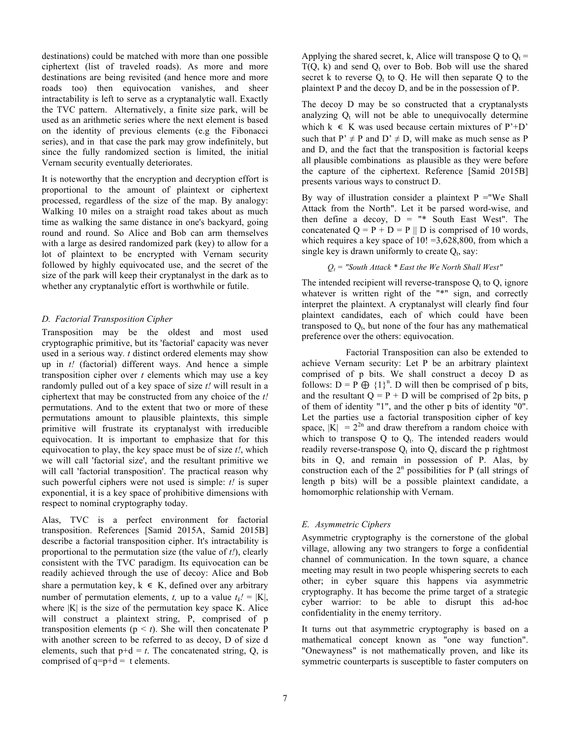destinations) could be matched with more than one possible ciphertext (list of traveled roads). As more and more destinations are being revisited (and hence more and more roads too) then equivocation vanishes, and sheer intractability is left to serve as a cryptanalytic wall. Exactly the TVC pattern. Alternatively, a finite size park, will be used as an arithmetic series where the next element is based on the identity of previous elements (e.g the Fibonacci series), and in that case the park may grow indefinitely, but since the fully randomized section is limited, the initial Vernam security eventually deteriorates.

It is noteworthy that the encryption and decryption effort is proportional to the amount of plaintext or ciphertext processed, regardless of the size of the map. By analogy: Walking 10 miles on a straight road takes about as much time as walking the same distance in one's backyard, going round and round. So Alice and Bob can arm themselves with a large as desired randomized park (key) to allow for a lot of plaintext to be encrypted with Vernam security followed by highly equivocated use, and the secret of the size of the park will keep their cryptanalyst in the dark as to whether any cryptanalytic effort is worthwhile or futile.

#### *D. Factorial Transposition Cipher*

Transposition may be the oldest and most used cryptographic primitive, but its 'factorial' capacity was never used in a serious way*. t* distinct ordered elements may show up in *t!* (factorial) different ways. And hence a simple transposition cipher over *t* elements which may use a key randomly pulled out of a key space of size *t!* will result in a ciphertext that may be constructed from any choice of the *t!* permutations. And to the extent that two or more of these permutations amount to plausible plaintexts, this simple primitive will frustrate its cryptanalyst with irreducible equivocation. It is important to emphasize that for this equivocation to play, the key space must be of size *t!*, which we will call 'factorial size', and the resultant primitive we will call 'factorial transposition'. The practical reason why such powerful ciphers were not used is simple: *t!* is super exponential, it is a key space of prohibitive dimensions with respect to nominal cryptography today.

Alas, TVC is a perfect environment for factorial transposition. References [Samid 2015A, Samid 2015B] describe a factorial transposition cipher. It's intractability is proportional to the permutation size (the value of *t!*), clearly consistent with the TVC paradigm. Its equivocation can be readily achieved through the use of decoy: Alice and Bob share a permutation key,  $k \in K$ , defined over any arbitrary number of permutation elements, *t*, up to a value  $t_k$ ! = |K|, where  $|K|$  is the size of the permutation key space K. Alice will construct a plaintext string, P, comprised of p transposition elements ( $p < t$ ). She will then concatenate P with another screen to be referred to as decoy, D of size d elements, such that  $p+d = t$ . The concatenated string, Q, is comprised of  $q=p+d = t$  elements.

Applying the shared secret, k, Alice will transpose Q to  $Q_t$  =  $T(Q, k)$  and send  $Q_t$  over to Bob. Bob will use the shared secret k to reverse  $Q_t$  to  $Q$ . He will then separate  $Q$  to the plaintext P and the decoy D, and be in the possession of P.

The decoy D may be so constructed that a cryptanalysts analyzing  $Q_t$  will not be able to unequivocally determine which  $k \in K$  was used because certain mixtures of P'+D' such that  $P' \neq P$  and  $D' \neq D$ , will make as much sense as P and D, and the fact that the transposition is factorial keeps all plausible combinations as plausible as they were before the capture of the ciphertext. Reference [Samid 2015B] presents various ways to construct D.

By way of illustration consider a plaintext  $P = We$  Shall Attack from the North". Let it be parsed word-wise, and then define a decoy,  $D =$  "\* South East West". The concatenated  $Q = P + D = P \parallel D$  is comprised of 10 words, which requires a key space of  $10! = 3,628,800$ , from which a single key is drawn uniformly to create  $Q_t$ , say:

#### $Q_t$  = "South Attack  $*$  East the We North Shall West"

The intended recipient will reverse-transpose  $Q_t$  to  $Q_t$ , ignore whatever is written right of the "\*" sign, and correctly interpret the plaintext. A cryptanalyst will clearly find four plaintext candidates, each of which could have been transposed to  $Q<sub>t</sub>$ , but none of the four has any mathematical preference over the others: equivocation.

 Factorial Transposition can also be extended to achieve Vernam security: Let P be an arbitrary plaintext comprised of p bits. We shall construct a decoy D as follows:  $D = P \bigoplus \{1\}^n$ . D will then be comprised of p bits, and the resultant  $Q = P + D$  will be comprised of 2p bits, p of them of identity "1", and the other p bits of identity "0". Let the parties use a factorial transposition cipher of key space,  $|\mathbf{K}| = 2^{2n}$  and draw therefrom a random choice with which to transpose  $Q$  to  $Q_t$ . The intended readers would readily reverse-transpose  $Q_t$  into  $Q_t$ , discard the p rightmost bits in Q, and remain in possession of P. Alas, by construction each of the  $2<sup>n</sup>$  possibilities for P (all strings of length p bits) will be a possible plaintext candidate, a homomorphic relationship with Vernam.

#### *E. Asymmetric Ciphers*

Asymmetric cryptography is the cornerstone of the global village, allowing any two strangers to forge a confidential channel of communication. In the town square, a chance meeting may result in two people whispering secrets to each other; in cyber square this happens via asymmetric cryptography. It has become the prime target of a strategic cyber warrior: to be able to disrupt this ad-hoc confidentiality in the enemy territory.

It turns out that asymmetric cryptography is based on a mathematical concept known as "one way function". "Onewayness" is not mathematically proven, and like its symmetric counterparts is susceptible to faster computers on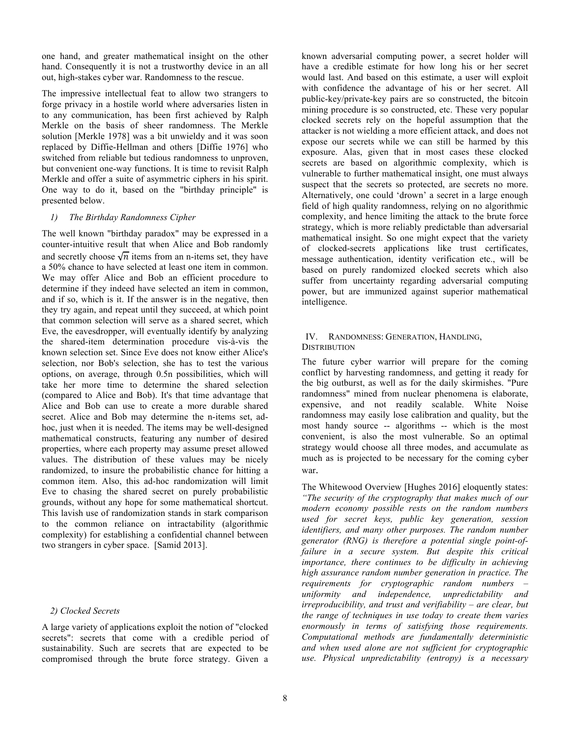one hand, and greater mathematical insight on the other hand. Consequently it is not a trustworthy device in an all out, high-stakes cyber war. Randomness to the rescue.

The impressive intellectual feat to allow two strangers to forge privacy in a hostile world where adversaries listen in to any communication, has been first achieved by Ralph Merkle on the basis of sheer randomness. The Merkle solution [Merkle 1978] was a bit unwieldy and it was soon replaced by Diffie-Hellman and others [Diffie 1976] who switched from reliable but tedious randomness to unproven, but convenient one-way functions. It is time to revisit Ralph Merkle and offer a suite of asymmetric ciphers in his spirit. One way to do it, based on the "birthday principle" is presented below.

#### *1) The Birthday Randomness Cipher*

The well known "birthday paradox" may be expressed in a counter-intuitive result that when Alice and Bob randomly and secretly choose  $\sqrt{n}$  items from an n-items set, they have a 50% chance to have selected at least one item in common. We may offer Alice and Bob an efficient procedure to determine if they indeed have selected an item in common, and if so, which is it. If the answer is in the negative, then they try again, and repeat until they succeed, at which point that common selection will serve as a shared secret, which Eve, the eavesdropper, will eventually identify by analyzing the shared-item determination procedure vis-à-vis the known selection set. Since Eve does not know either Alice's selection, nor Bob's selection, she has to test the various options, on average, through 0.5n possibilities, which will take her more time to determine the shared selection (compared to Alice and Bob). It's that time advantage that Alice and Bob can use to create a more durable shared secret. Alice and Bob may determine the n-items set, adhoc, just when it is needed. The items may be well-designed mathematical constructs, featuring any number of desired properties, where each property may assume preset allowed values. The distribution of these values may be nicely randomized, to insure the probabilistic chance for hitting a common item. Also, this ad-hoc randomization will limit Eve to chasing the shared secret on purely probabilistic grounds, without any hope for some mathematical shortcut. This lavish use of randomization stands in stark comparison to the common reliance on intractability (algorithmic complexity) for establishing a confidential channel between two strangers in cyber space. [Samid 2013].

# *2) Clocked Secrets*

A large variety of applications exploit the notion of "clocked secrets": secrets that come with a credible period of sustainability. Such are secrets that are expected to be compromised through the brute force strategy. Given a

known adversarial computing power, a secret holder will have a credible estimate for how long his or her secret would last. And based on this estimate, a user will exploit with confidence the advantage of his or her secret. All public-key/private-key pairs are so constructed, the bitcoin mining procedure is so constructed, etc. These very popular clocked secrets rely on the hopeful assumption that the attacker is not wielding a more efficient attack, and does not expose our secrets while we can still be harmed by this exposure. Alas, given that in most cases these clocked secrets are based on algorithmic complexity, which is vulnerable to further mathematical insight, one must always suspect that the secrets so protected, are secrets no more. Alternatively, one could 'drown' a secret in a large enough field of high quality randomness, relying on no algorithmic complexity, and hence limiting the attack to the brute force strategy, which is more reliably predictable than adversarial mathematical insight. So one might expect that the variety of clocked-secrets applications like trust certificates, message authentication, identity verification etc., will be based on purely randomized clocked secrets which also suffer from uncertainty regarding adversarial computing power, but are immunized against superior mathematical intelligence.

#### IV. RANDOMNESS: GENERATION, HANDLING, **DISTRIBUTION**

The future cyber warrior will prepare for the coming conflict by harvesting randomness, and getting it ready for the big outburst, as well as for the daily skirmishes. "Pure randomness" mined from nuclear phenomena is elaborate, expensive, and not readily scalable. White Noise randomness may easily lose calibration and quality, but the most handy source -- algorithms -- which is the most convenient, is also the most vulnerable. So an optimal strategy would choose all three modes, and accumulate as much as is projected to be necessary for the coming cyber war.

The Whitewood Overview [Hughes 2016] eloquently states: *"The security of the cryptography that makes much of our modern economy possible rests on the random numbers used for secret keys, public key generation, session identifiers, and many other purposes. The random number generator (RNG) is therefore a potential single point-offailure in a secure system. But despite this critical importance, there continues to be difficulty in achieving high assurance random number generation in practice. The requirements for cryptographic random numbers – uniformity and independence, unpredictability and irreproducibility, and trust and verifiability – are clear, but the range of techniques in use today to create them varies enormously in terms of satisfying those requirements. Computational methods are fundamentally deterministic and when used alone are not sufficient for cryptographic use. Physical unpredictability (entropy) is a necessary*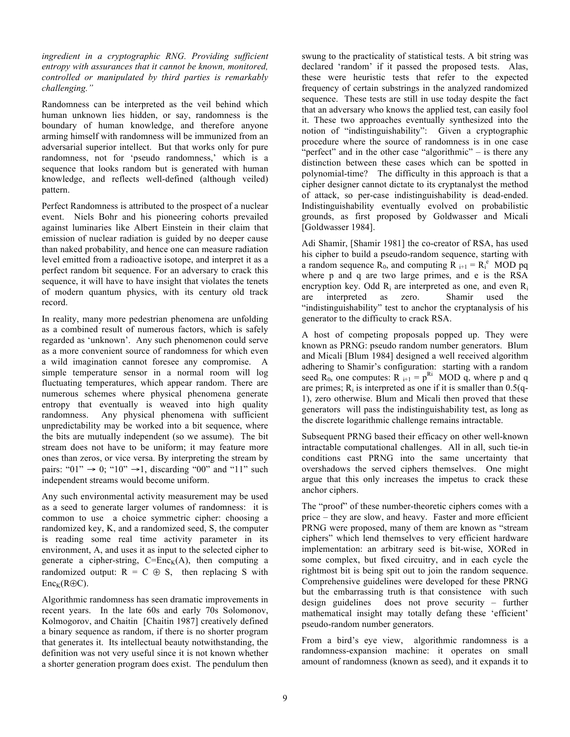*ingredient in a cryptographic RNG. Providing sufficient entropy with assurances that it cannot be known, monitored, controlled or manipulated by third parties is remarkably challenging."*

Randomness can be interpreted as the veil behind which human unknown lies hidden, or say, randomness is the boundary of human knowledge, and therefore anyone arming himself with randomness will be immunized from an adversarial superior intellect. But that works only for pure randomness, not for 'pseudo randomness,' which is a sequence that looks random but is generated with human knowledge, and reflects well-defined (although veiled) pattern.

Perfect Randomness is attributed to the prospect of a nuclear event. Niels Bohr and his pioneering cohorts prevailed against luminaries like Albert Einstein in their claim that emission of nuclear radiation is guided by no deeper cause than naked probability, and hence one can measure radiation level emitted from a radioactive isotope, and interpret it as a perfect random bit sequence. For an adversary to crack this sequence, it will have to have insight that violates the tenets of modern quantum physics, with its century old track record.

In reality, many more pedestrian phenomena are unfolding as a combined result of numerous factors, which is safely regarded as 'unknown'. Any such phenomenon could serve as a more convenient source of randomness for which even a wild imagination cannot foresee any compromise. A simple temperature sensor in a normal room will log fluctuating temperatures, which appear random. There are numerous schemes where physical phenomena generate entropy that eventually is weaved into high quality randomness. Any physical phenomena with sufficient unpredictability may be worked into a bit sequence, where the bits are mutually independent (so we assume). The bit stream does not have to be uniform; it may feature more ones than zeros, or vice versa. By interpreting the stream by pairs: " $01$ "  $\rightarrow$  0; " $10$ "  $\rightarrow$  1, discarding " $00$ " and " $11$ " such independent streams would become uniform.

Any such environmental activity measurement may be used as a seed to generate larger volumes of randomness: it is common to use a choice symmetric cipher: choosing a randomized key, K, and a randomized seed, S, the computer is reading some real time activity parameter in its environment, A, and uses it as input to the selected cipher to generate a cipher-string,  $C=Enc_K(A)$ , then computing a randomized output:  $R = C \oplus S$ , then replacing S with  $Enc_K(R \oplus C)$ .

Algorithmic randomness has seen dramatic improvements in recent years. In the late 60s and early 70s Solomonov, Kolmogorov, and Chaitin [Chaitin 1987] creatively defined a binary sequence as random, if there is no shorter program that generates it. Its intellectual beauty notwithstanding, the definition was not very useful since it is not known whether a shorter generation program does exist. The pendulum then swung to the practicality of statistical tests. A bit string was declared 'random' if it passed the proposed tests. Alas, these were heuristic tests that refer to the expected frequency of certain substrings in the analyzed randomized sequence. These tests are still in use today despite the fact that an adversary who knows the applied test, can easily fool it. These two approaches eventually synthesized into the notion of "indistinguishability": Given a cryptographic procedure where the source of randomness is in one case "perfect" and in the other case "algorithmic" – is there any distinction between these cases which can be spotted in polynomial-time? The difficulty in this approach is that a cipher designer cannot dictate to its cryptanalyst the method of attack, so per-case indistinguishability is dead-ended. Indistinguishability eventually evolved on probabilistic grounds, as first proposed by Goldwasser and Micali [Goldwasser 1984].

Adi Shamir, [Shamir 1981] the co-creator of RSA, has used his cipher to build a pseudo-random sequence, starting with a random sequence  $\overline{R}_0$ , and computing  $\overline{R}_{i+1} = R_i^e$  MOD pq where p and q are two large primes, and e is the RSA encryption key. Odd  $R_i$  are interpreted as one, and even  $R_i$ are interpreted as zero. Shamir used the "indistinguishability" test to anchor the cryptanalysis of his generator to the difficulty to crack RSA.

A host of competing proposals popped up. They were known as PRNG: pseudo random number generators. Blum and Micali [Blum 1984] designed a well received algorithm adhering to Shamir's configuration: starting with a random seed R<sub>0</sub>, one computes: R  $_{i+1}$  =  $p^{R_i}$  MOD q, where p and q are primes;  $R_i$  is interpreted as one if it is smaller than  $0.5(q-$ 1), zero otherwise. Blum and Micali then proved that these generators will pass the indistinguishability test, as long as the discrete logarithmic challenge remains intractable.

Subsequent PRNG based their efficacy on other well-known intractable computational challenges. All in all, such tie-in conditions cast PRNG into the same uncertainty that overshadows the served ciphers themselves. One might argue that this only increases the impetus to crack these anchor ciphers.

The "proof" of these number-theoretic ciphers comes with a price – they are slow, and heavy. Faster and more efficient PRNG were proposed, many of them are known as "stream ciphers" which lend themselves to very efficient hardware implementation: an arbitrary seed is bit-wise, XORed in some complex, but fixed circuitry, and in each cycle the rightmost bit is being spit out to join the random sequence. Comprehensive guidelines were developed for these PRNG but the embarrassing truth is that consistence with such design guidelines does not prove security – further mathematical insight may totally defang these 'efficient' pseudo-random number generators.

From a bird's eye view, algorithmic randomness is a randomness-expansion machine: it operates on small amount of randomness (known as seed), and it expands it to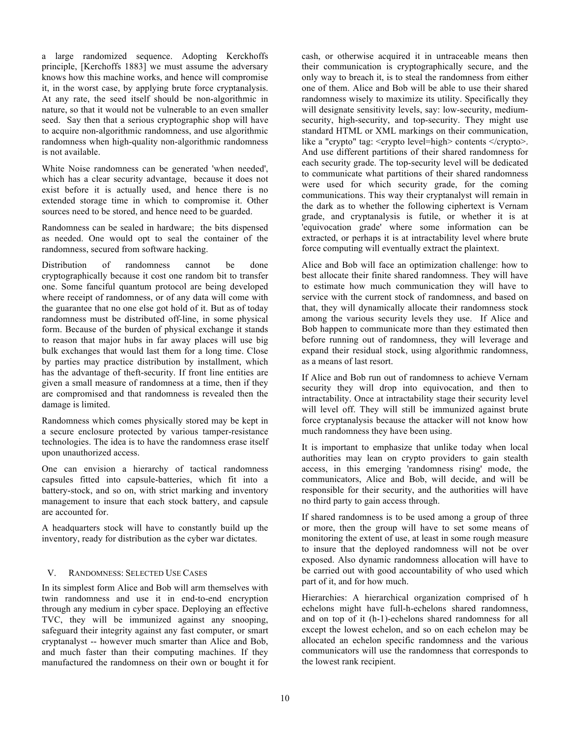a large randomized sequence. Adopting Kerckhoffs principle, [Kerchoffs 1883] we must assume the adversary knows how this machine works, and hence will compromise it, in the worst case, by applying brute force cryptanalysis. At any rate, the seed itself should be non-algorithmic in nature, so that it would not be vulnerable to an even smaller seed. Say then that a serious cryptographic shop will have to acquire non-algorithmic randomness, and use algorithmic randomness when high-quality non-algorithmic randomness is not available.

White Noise randomness can be generated 'when needed', which has a clear security advantage, because it does not exist before it is actually used, and hence there is no extended storage time in which to compromise it. Other sources need to be stored, and hence need to be guarded.

Randomness can be sealed in hardware; the bits dispensed as needed. One would opt to seal the container of the randomness, secured from software hacking.

Distribution of randomness cannot be done cryptographically because it cost one random bit to transfer one. Some fanciful quantum protocol are being developed where receipt of randomness, or of any data will come with the guarantee that no one else got hold of it. But as of today randomness must be distributed off-line, in some physical form. Because of the burden of physical exchange it stands to reason that major hubs in far away places will use big bulk exchanges that would last them for a long time. Close by parties may practice distribution by installment, which has the advantage of theft-security. If front line entities are given a small measure of randomness at a time, then if they are compromised and that randomness is revealed then the damage is limited.

Randomness which comes physically stored may be kept in a secure enclosure protected by various tamper-resistance technologies. The idea is to have the randomness erase itself upon unauthorized access.

One can envision a hierarchy of tactical randomness capsules fitted into capsule-batteries, which fit into a battery-stock, and so on, with strict marking and inventory management to insure that each stock battery, and capsule are accounted for.

A headquarters stock will have to constantly build up the inventory, ready for distribution as the cyber war dictates.

# V. RANDOMNESS: SELECTED USE CASES

In its simplest form Alice and Bob will arm themselves with twin randomness and use it in end-to-end encryption through any medium in cyber space. Deploying an effective TVC, they will be immunized against any snooping, safeguard their integrity against any fast computer, or smart cryptanalyst -- however much smarter than Alice and Bob, and much faster than their computing machines. If they manufactured the randomness on their own or bought it for cash, or otherwise acquired it in untraceable means then their communication is cryptographically secure, and the only way to breach it, is to steal the randomness from either one of them. Alice and Bob will be able to use their shared randomness wisely to maximize its utility. Specifically they will designate sensitivity levels, say: low-security, mediumsecurity, high-security, and top-security. They might use standard HTML or XML markings on their communication, like a "crypto" tag: <crypto level=high> contents </crypto>. And use different partitions of their shared randomness for each security grade. The top-security level will be dedicated to communicate what partitions of their shared randomness were used for which security grade, for the coming communications. This way their cryptanalyst will remain in the dark as to whether the following ciphertext is Vernam grade, and cryptanalysis is futile, or whether it is at 'equivocation grade' where some information can be extracted, or perhaps it is at intractability level where brute force computing will eventually extract the plaintext.

Alice and Bob will face an optimization challenge: how to best allocate their finite shared randomness. They will have to estimate how much communication they will have to service with the current stock of randomness, and based on that, they will dynamically allocate their randomness stock among the various security levels they use. If Alice and Bob happen to communicate more than they estimated then before running out of randomness, they will leverage and expand their residual stock, using algorithmic randomness, as a means of last resort.

If Alice and Bob run out of randomness to achieve Vernam security they will drop into equivocation, and then to intractability. Once at intractability stage their security level will level off. They will still be immunized against brute force cryptanalysis because the attacker will not know how much randomness they have been using.

It is important to emphasize that unlike today when local authorities may lean on crypto providers to gain stealth access, in this emerging 'randomness rising' mode, the communicators, Alice and Bob, will decide, and will be responsible for their security, and the authorities will have no third party to gain access through.

If shared randomness is to be used among a group of three or more, then the group will have to set some means of monitoring the extent of use, at least in some rough measure to insure that the deployed randomness will not be over exposed. Also dynamic randomness allocation will have to be carried out with good accountability of who used which part of it, and for how much.

Hierarchies: A hierarchical organization comprised of h echelons might have full-h-echelons shared randomness, and on top of it (h-1)-echelons shared randomness for all except the lowest echelon, and so on each echelon may be allocated an echelon specific randomness and the various communicators will use the randomness that corresponds to the lowest rank recipient.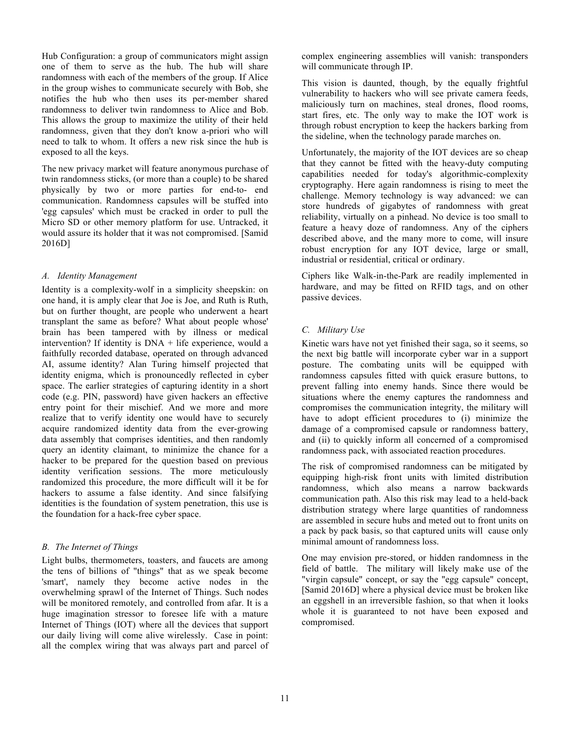Hub Configuration: a group of communicators might assign one of them to serve as the hub. The hub will share randomness with each of the members of the group. If Alice in the group wishes to communicate securely with Bob, she notifies the hub who then uses its per-member shared randomness to deliver twin randomness to Alice and Bob. This allows the group to maximize the utility of their held randomness, given that they don't know a-priori who will need to talk to whom. It offers a new risk since the hub is exposed to all the keys.

The new privacy market will feature anonymous purchase of twin randomness sticks, (or more than a couple) to be shared physically by two or more parties for end-to- end communication. Randomness capsules will be stuffed into 'egg capsules' which must be cracked in order to pull the Micro SD or other memory platform for use. Untracked, it would assure its holder that it was not compromised. [Samid 2016D]

#### *A. Identity Management*

Identity is a complexity-wolf in a simplicity sheepskin: on one hand, it is amply clear that Joe is Joe, and Ruth is Ruth, but on further thought, are people who underwent a heart transplant the same as before? What about people whose' brain has been tampered with by illness or medical intervention? If identity is DNA + life experience, would a faithfully recorded database, operated on through advanced AI, assume identity? Alan Turing himself projected that identity enigma, which is pronouncedly reflected in cyber space. The earlier strategies of capturing identity in a short code (e.g. PIN, password) have given hackers an effective entry point for their mischief. And we more and more realize that to verify identity one would have to securely acquire randomized identity data from the ever-growing data assembly that comprises identities, and then randomly query an identity claimant, to minimize the chance for a hacker to be prepared for the question based on previous identity verification sessions. The more meticulously randomized this procedure, the more difficult will it be for hackers to assume a false identity. And since falsifying identities is the foundation of system penetration, this use is the foundation for a hack-free cyber space.

# *B. The Internet of Things*

Light bulbs, thermometers, toasters, and faucets are among the tens of billions of "things" that as we speak become 'smart', namely they become active nodes in the overwhelming sprawl of the Internet of Things. Such nodes will be monitored remotely, and controlled from afar. It is a huge imagination stressor to foresee life with a mature Internet of Things (IOT) where all the devices that support our daily living will come alive wirelessly. Case in point: all the complex wiring that was always part and parcel of complex engineering assemblies will vanish: transponders will communicate through IP.

This vision is daunted, though, by the equally frightful vulnerability to hackers who will see private camera feeds, maliciously turn on machines, steal drones, flood rooms, start fires, etc. The only way to make the IOT work is through robust encryption to keep the hackers barking from the sideline, when the technology parade marches on.

Unfortunately, the majority of the IOT devices are so cheap that they cannot be fitted with the heavy-duty computing capabilities needed for today's algorithmic-complexity cryptography. Here again randomness is rising to meet the challenge. Memory technology is way advanced: we can store hundreds of gigabytes of randomness with great reliability, virtually on a pinhead. No device is too small to feature a heavy doze of randomness. Any of the ciphers described above, and the many more to come, will insure robust encryption for any IOT device, large or small, industrial or residential, critical or ordinary.

Ciphers like Walk-in-the-Park are readily implemented in hardware, and may be fitted on RFID tags, and on other passive devices.

# *C. Military Use*

Kinetic wars have not yet finished their saga, so it seems, so the next big battle will incorporate cyber war in a support posture. The combating units will be equipped with randomness capsules fitted with quick erasure buttons, to prevent falling into enemy hands. Since there would be situations where the enemy captures the randomness and compromises the communication integrity, the military will have to adopt efficient procedures to (i) minimize the damage of a compromised capsule or randomness battery, and (ii) to quickly inform all concerned of a compromised randomness pack, with associated reaction procedures.

The risk of compromised randomness can be mitigated by equipping high-risk front units with limited distribution randomness, which also means a narrow backwards communication path. Also this risk may lead to a held-back distribution strategy where large quantities of randomness are assembled in secure hubs and meted out to front units on a pack by pack basis, so that captured units will cause only minimal amount of randomness loss.

One may envision pre-stored, or hidden randomness in the field of battle. The military will likely make use of the "virgin capsule" concept, or say the "egg capsule" concept, [Samid 2016D] where a physical device must be broken like an eggshell in an irreversible fashion, so that when it looks whole it is guaranteed to not have been exposed and compromised.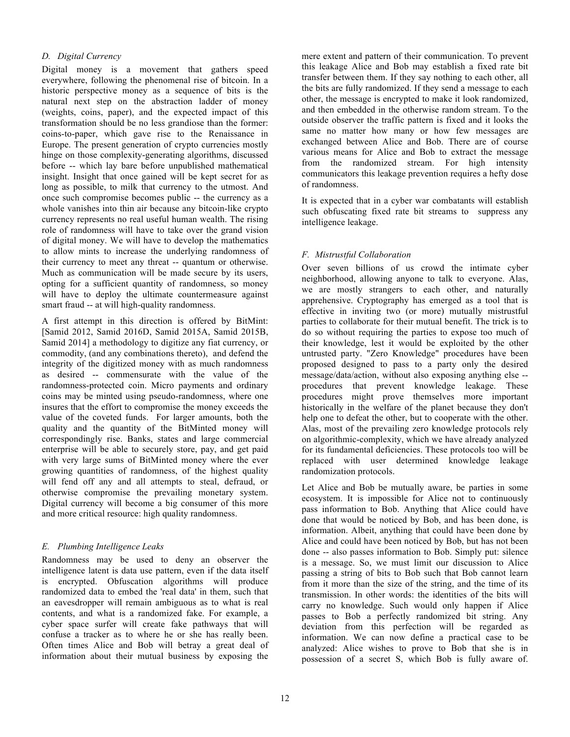#### *D. Digital Currency*

Digital money is a movement that gathers speed everywhere, following the phenomenal rise of bitcoin. In a historic perspective money as a sequence of bits is the natural next step on the abstraction ladder of money (weights, coins, paper), and the expected impact of this transformation should be no less grandiose than the former: coins-to-paper, which gave rise to the Renaissance in Europe. The present generation of crypto currencies mostly hinge on those complexity-generating algorithms, discussed before -- which lay bare before unpublished mathematical insight. Insight that once gained will be kept secret for as long as possible, to milk that currency to the utmost. And once such compromise becomes public -- the currency as a whole vanishes into thin air because any bitcoin-like crypto currency represents no real useful human wealth. The rising role of randomness will have to take over the grand vision of digital money. We will have to develop the mathematics to allow mints to increase the underlying randomness of their currency to meet any threat -- quantum or otherwise. Much as communication will be made secure by its users, opting for a sufficient quantity of randomness, so money will have to deploy the ultimate countermeasure against smart fraud -- at will high-quality randomness.

A first attempt in this direction is offered by BitMint: [Samid 2012, Samid 2016D, Samid 2015A, Samid 2015B, Samid 2014] a methodology to digitize any fiat currency, or commodity, (and any combinations thereto), and defend the integrity of the digitized money with as much randomness as desired -- commensurate with the value of the randomness-protected coin. Micro payments and ordinary coins may be minted using pseudo-randomness, where one insures that the effort to compromise the money exceeds the value of the coveted funds. For larger amounts, both the quality and the quantity of the BitMinted money will correspondingly rise. Banks, states and large commercial enterprise will be able to securely store, pay, and get paid with very large sums of BitMinted money where the ever growing quantities of randomness, of the highest quality will fend off any and all attempts to steal, defraud, or otherwise compromise the prevailing monetary system. Digital currency will become a big consumer of this more and more critical resource: high quality randomness.

# *E. Plumbing Intelligence Leaks*

Randomness may be used to deny an observer the intelligence latent is data use pattern, even if the data itself is encrypted. Obfuscation algorithms will produce randomized data to embed the 'real data' in them, such that an eavesdropper will remain ambiguous as to what is real contents, and what is a randomized fake. For example, a cyber space surfer will create fake pathways that will confuse a tracker as to where he or she has really been. Often times Alice and Bob will betray a great deal of information about their mutual business by exposing the

mere extent and pattern of their communication. To prevent this leakage Alice and Bob may establish a fixed rate bit transfer between them. If they say nothing to each other, all the bits are fully randomized. If they send a message to each other, the message is encrypted to make it look randomized, and then embedded in the otherwise random stream. To the outside observer the traffic pattern is fixed and it looks the same no matter how many or how few messages are exchanged between Alice and Bob. There are of course various means for Alice and Bob to extract the message from the randomized stream. For high intensity communicators this leakage prevention requires a hefty dose of randomness.

It is expected that in a cyber war combatants will establish such obfuscating fixed rate bit streams to suppress any intelligence leakage.

# *F. Mistrustful Collaboration*

Over seven billions of us crowd the intimate cyber neighborhood, allowing anyone to talk to everyone. Alas, we are mostly strangers to each other, and naturally apprehensive. Cryptography has emerged as a tool that is effective in inviting two (or more) mutually mistrustful parties to collaborate for their mutual benefit. The trick is to do so without requiring the parties to expose too much of their knowledge, lest it would be exploited by the other untrusted party. "Zero Knowledge" procedures have been proposed designed to pass to a party only the desired message/data/action, without also exposing anything else - procedures that prevent knowledge leakage. These procedures might prove themselves more important historically in the welfare of the planet because they don't help one to defeat the other, but to cooperate with the other. Alas, most of the prevailing zero knowledge protocols rely on algorithmic-complexity, which we have already analyzed for its fundamental deficiencies. These protocols too will be replaced with user determined knowledge leakage randomization protocols.

Let Alice and Bob be mutually aware, be parties in some ecosystem. It is impossible for Alice not to continuously pass information to Bob. Anything that Alice could have done that would be noticed by Bob, and has been done, is information. Albeit, anything that could have been done by Alice and could have been noticed by Bob, but has not been done -- also passes information to Bob. Simply put: silence is a message. So, we must limit our discussion to Alice passing a string of bits to Bob such that Bob cannot learn from it more than the size of the string, and the time of its transmission. In other words: the identities of the bits will carry no knowledge. Such would only happen if Alice passes to Bob a perfectly randomized bit string. Any deviation from this perfection will be regarded as information. We can now define a practical case to be analyzed: Alice wishes to prove to Bob that she is in possession of a secret S, which Bob is fully aware of.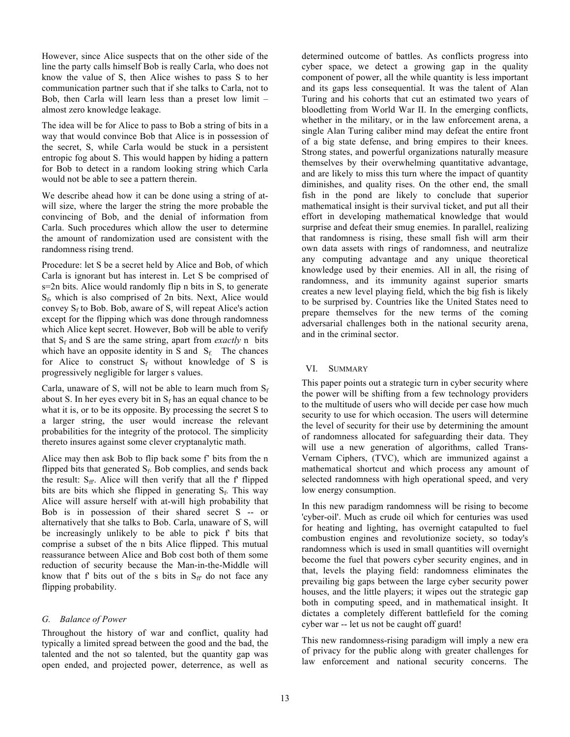However, since Alice suspects that on the other side of the line the party calls himself Bob is really Carla, who does not know the value of S, then Alice wishes to pass S to her communication partner such that if she talks to Carla, not to Bob, then Carla will learn less than a preset low limit – almost zero knowledge leakage.

The idea will be for Alice to pass to Bob a string of bits in a way that would convince Bob that Alice is in possession of the secret, S, while Carla would be stuck in a persistent entropic fog about S. This would happen by hiding a pattern for Bob to detect in a random looking string which Carla would not be able to see a pattern therein.

We describe ahead how it can be done using a string of atwill size, where the larger the string the more probable the convincing of Bob, and the denial of information from Carla. Such procedures which allow the user to determine the amount of randomization used are consistent with the randomness rising trend.

Procedure: let S be a secret held by Alice and Bob, of which Carla is ignorant but has interest in. Let S be comprised of s=2n bits. Alice would randomly flip n bits in S, to generate  $S_f$ , which is also comprised of 2n bits. Next, Alice would convey  $S_f$  to Bob. Bob, aware of S, will repeat Alice's action except for the flipping which was done through randomness which Alice kept secret. However, Bob will be able to verify that  $S_f$  and S are the same string, apart from *exactly* n bits which have an opposite identity in S and  $S_f$ . The chances for Alice to construct  $S_f$  without knowledge of S is progressively negligible for larger s values.

Carla, unaware of S, will not be able to learn much from  $S_f$ about S. In her eyes every bit in  $S_f$  has an equal chance to be what it is, or to be its opposite. By processing the secret S to a larger string, the user would increase the relevant probabilities for the integrity of the protocol. The simplicity thereto insures against some clever cryptanalytic math.

Alice may then ask Bob to flip back some f' bits from the n flipped bits that generated  $S_f$ . Bob complies, and sends back the result:  $S_{ff}$ . Alice will then verify that all the f' flipped bits are bits which she flipped in generating  $S_f$ . This way Alice will assure herself with at-will high probability that Bob is in possession of their shared secret S -- or alternatively that she talks to Bob. Carla, unaware of S, will be increasingly unlikely to be able to pick f' bits that comprise a subset of the n bits Alice flipped. This mutual reassurance between Alice and Bob cost both of them some reduction of security because the Man-in-the-Middle will know that f' bits out of the s bits in  $S_{ff}$  do not face any flipping probability.

# *G. Balance of Power*

Throughout the history of war and conflict, quality had typically a limited spread between the good and the bad, the talented and the not so talented, but the quantity gap was open ended, and projected power, deterrence, as well as determined outcome of battles. As conflicts progress into cyber space, we detect a growing gap in the quality component of power, all the while quantity is less important and its gaps less consequential. It was the talent of Alan Turing and his cohorts that cut an estimated two years of bloodletting from World War II. In the emerging conflicts, whether in the military, or in the law enforcement arena, a single Alan Turing caliber mind may defeat the entire front of a big state defense, and bring empires to their knees. Strong states, and powerful organizations naturally measure themselves by their overwhelming quantitative advantage, and are likely to miss this turn where the impact of quantity diminishes, and quality rises. On the other end, the small fish in the pond are likely to conclude that superior mathematical insight is their survival ticket, and put all their effort in developing mathematical knowledge that would surprise and defeat their smug enemies. In parallel, realizing that randomness is rising, these small fish will arm their own data assets with rings of randomness, and neutralize any computing advantage and any unique theoretical knowledge used by their enemies. All in all, the rising of randomness, and its immunity against superior smarts creates a new level playing field, which the big fish is likely to be surprised by. Countries like the United States need to prepare themselves for the new terms of the coming adversarial challenges both in the national security arena, and in the criminal sector.

#### VI. SUMMARY

This paper points out a strategic turn in cyber security where the power will be shifting from a few technology providers to the multitude of users who will decide per case how much security to use for which occasion. The users will determine the level of security for their use by determining the amount of randomness allocated for safeguarding their data. They will use a new generation of algorithms, called Trans-Vernam Ciphers, (TVC), which are immunized against a mathematical shortcut and which process any amount of selected randomness with high operational speed, and very low energy consumption.

In this new paradigm randomness will be rising to become 'cyber-oil'. Much as crude oil which for centuries was used for heating and lighting, has overnight catapulted to fuel combustion engines and revolutionize society, so today's randomness which is used in small quantities will overnight become the fuel that powers cyber security engines, and in that, levels the playing field: randomness eliminates the prevailing big gaps between the large cyber security power houses, and the little players; it wipes out the strategic gap both in computing speed, and in mathematical insight. It dictates a completely different battlefield for the coming cyber war -- let us not be caught off guard!

This new randomness-rising paradigm will imply a new era of privacy for the public along with greater challenges for law enforcement and national security concerns. The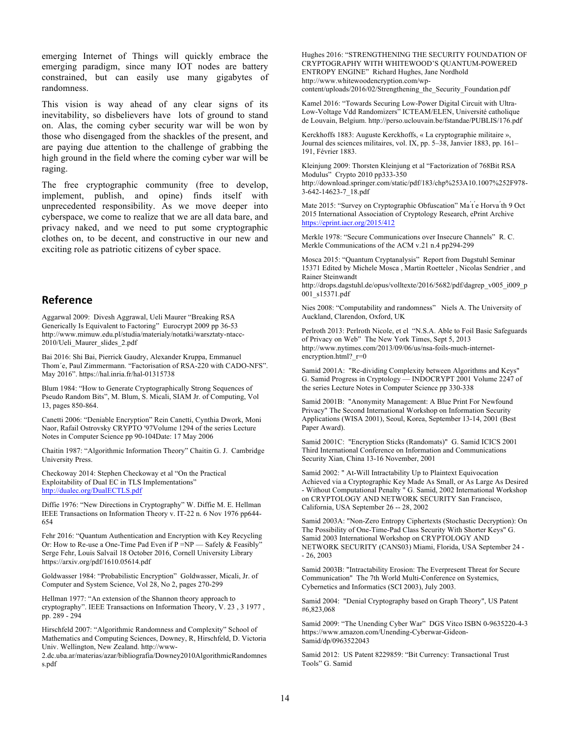emerging Internet of Things will quickly embrace the emerging paradigm, since many IOT nodes are battery constrained, but can easily use many gigabytes of randomness.

This vision is way ahead of any clear signs of its inevitability, so disbelievers have lots of ground to stand on. Alas, the coming cyber security war will be won by those who disengaged from the shackles of the present, and are paying due attention to the challenge of grabbing the high ground in the field where the coming cyber war will be raging.

The free cryptographic community (free to develop, implement, publish, and opine) finds itself with unprecedented responsibility. As we move deeper into cyberspace, we come to realize that we are all data bare, and privacy naked, and we need to put some cryptographic clothes on, to be decent, and constructive in our new and exciting role as patriotic citizens of cyber space.

# **Reference**

Aggarwal 2009: Divesh Aggrawal, Ueli Maurer "Breaking RSA Generically Is Equivalent to Factoring" Eurocrypt 2009 pp 36-53 http://www.mimuw.edu.pl/studia/materialy/notatki/warsztaty-ntacc-2010/Ueli\_Maurer\_slides\_2.pdf

Bai 2016: Shi Bai, Pierrick Gaudry, Alexander Kruppa, Emmanuel Thom´e, Paul Zimmermann. "Factorisation of RSA-220 with CADO-NFS". May 2016". https://hal.inria.fr/hal-01315738

Blum 1984: "How to Generate Cryptographically Strong Sequences of Pseudo Random Bits", M. Blum, S. Micali, SIAM Jr. of Computing, Vol 13, pages 850-864.

Canetti 2006: "Deniable Encryption" Rein Canetti, Cynthia Dwork, Moni Naor, Rafail Ostrovsky CRYPTO '97Volume 1294 of the series Lecture Notes in Computer Science pp 90-104Date: 17 May 2006

Chaitin 1987: "Algorithmic Information Theory" Chaitin G. J. Cambridge University Press.

Checkoway 2014: Stephen Checkoway et al "On the Practical Exploitability of Dual EC in TLS Implementations" http://dualec.org/DualECTLS.pdf

Diffie 1976: "New Directions in Cryptography" W. Diffie M. E. Hellman IEEE Transactions on Information Theory v. IT-22 n. 6 Nov 1976 pp644- 654

Fehr 2016: "Quantum Authentication and Encryption with Key Recycling Or: How to Re-use a One-Time Pad Even if  $P = NP$  — Safely & Feasibly Serge Fehr, Louis Salvail 18 October 2016, Cornell University Library https://arxiv.org/pdf/1610.05614.pdf

Goldwasser 1984: "Probabilistic Encryption" Goldwasser, Micali, Jr. of Computer and System Science, Vol 28, No 2, pages 270-299

Hellman 1977: "An extension of the Shannon theory approach to cryptography". IEEE Transactions on Information Theory, V. 23 , 3 1977 , pp. 289 - 294

Hirschfeld 2007: "Algorithmic Randomness and Complexity" School of Mathematics and Computing Sciences, Downey, R, Hirschfeld, D. Victoria Univ. Wellington, New Zealand. http://www-

2.dc.uba.ar/materias/azar/bibliografia/Downey2010AlgorithmicRandomnes s.pdf

Hughes 2016: "STRENGTHENING THE SECURITY FOUNDATION OF CRYPTOGRAPHY WITH WHITEWOOD'S QUANTUM-POWERED ENTROPY ENGINE" Richard Hughes, Jane Nordhold http://www.whitewoodencryption.com/wpcontent/uploads/2016/02/Strengthening\_the\_Security\_Foundation.pdf

Kamel 2016: "Towards Securing Low-Power Digital Circuit with Ultra-Low-Voltage Vdd Randomizers" ICTEAM/ELEN, Université catholique de Louvain, Belgium. http://perso.uclouvain.be/fstandae/PUBLIS/176.pdf

Kerckhoffs 1883: Auguste Kerckhoffs, « La cryptographie militaire », Journal des sciences militaires, vol. IX, pp. 5–38, Janvier 1883, pp. 161– 191, Février 1883.

Kleinjung 2009: Thorsten Kleinjung et al "Factorization of 768Bit RSA Modulus" Crypto 2010 pp333-350

http://download.springer.com/static/pdf/183/chp%253A10.1007%252F978- 3-642-14623-7\_18.pdf

Mate 2015: "Survey on Cryptographic Obfuscation" Ma ́t ́e Horva ́th 9 Oct 2015 International Association of Cryptology Research, ePrint Archive https://eprint.iacr.org/2015/412

Merkle 1978: "Secure Communications over Insecure Channels" R. C. Merkle Communications of the ACM v.21 n.4 pp294-299

Mosca 2015: "Quantum Cryptanalysis" Report from Dagstuhl Seminar 15371 Edited by Michele Mosca , Martin Roetteler , Nicolas Sendrier , and Rainer Steinwandt

http://drops.dagstuhl.de/opus/volltexte/2016/5682/pdf/dagrep\_v005\_i009\_p 001\_s15371.pdf

Nies 2008: "Computability and randomness" Niels A. The University of Auckland, Clarendon, Oxford, UK

Perlroth 2013: Perlroth Nicole, et el "N.S.A. Able to Foil Basic Safeguards of Privacy on Web" The New York Times, Sept 5, 2013 http://www.nytimes.com/2013/09/06/us/nsa-foils-much-internetencryption.html? $r=0$ 

Samid 2001A: "Re-dividing Complexity between Algorithms and Keys" G. Samid Progress in Cryptology — INDOCRYPT 2001 Volume 2247 of the series Lecture Notes in Computer Science pp 330-338

Samid 2001B: "Anonymity Management: A Blue Print For Newfound Privacy" The Second International Workshop on Information Security Applications (WISA 2001), Seoul, Korea, September 13-14, 2001 (Best Paper Award).

Samid 2001C: "Encryption Sticks (Randomats)" G. Samid ICICS 2001 Third International Conference on Information and Communications Security Xian, China 13-16 November, 2001

Samid 2002: " At-Will Intractability Up to Plaintext Equivocation Achieved via a Cryptographic Key Made As Small, or As Large As Desired - Without Computational Penalty " G. Samid, 2002 International Workshop on CRYPTOLOGY AND NETWORK SECURITY San Francisco, California, USA September 26 -- 28, 2002

Samid 2003A: "Non-Zero Entropy Ciphertexts (Stochastic Decryption): On The Possibility of One-Time-Pad Class Security With Shorter Keys" G. Samid 2003 International Workshop on CRYPTOLOGY AND NETWORK SECURITY (CANS03) Miami, Florida, USA September 24 - - 26, 2003

Samid 2003B: "Intractability Erosion: The Everpresent Threat for Secure Communication" The 7th World Multi-Conference on Systemics, Cybernetics and Informatics (SCI 2003), July 2003.

Samid 2004: "Denial Cryptography based on Graph Theory", US Patent #6,823,068

Samid 2009: "The Unending Cyber War" DGS Vitco ISBN 0-9635220-4-3 https://www.amazon.com/Unending-Cyberwar-Gideon-Samid/dp/0963522043

Samid 2012: US Patent 8229859: "Bit Currency: Transactional Trust Tools" G. Samid